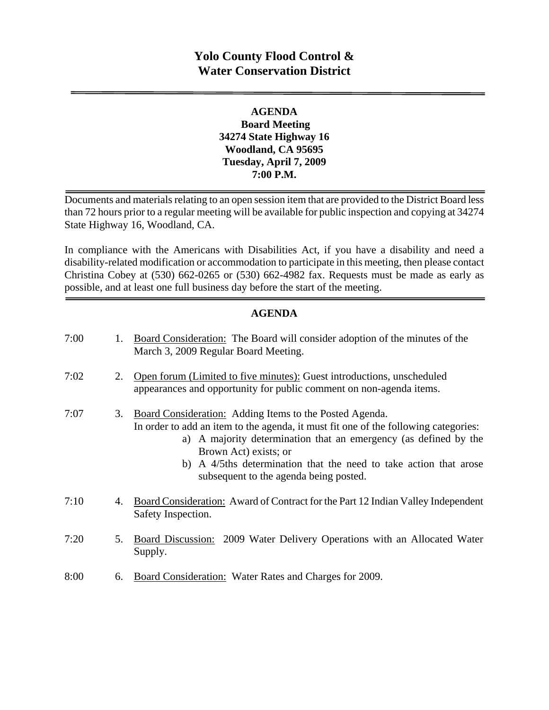# **Yolo County Flood Control & Water Conservation District**

## **AGENDA Board Meeting 34274 State Highway 16 Woodland, CA 95695 Tuesday, April 7, 2009 7:00 P.M.**

Documents and materials relating to an open session item that are provided to the District Board less than 72 hours prior to a regular meeting will be available for public inspection and copying at 34274 State Highway 16, Woodland, CA.

In compliance with the Americans with Disabilities Act, if you have a disability and need a disability-related modification or accommodation to participate in this meeting, then please contact Christina Cobey at (530) 662-0265 or (530) 662-4982 fax. Requests must be made as early as possible, and at least one full business day before the start of the meeting.

## **AGENDA**

| 7:00 | 1. | <b>Board Consideration:</b> The Board will consider adoption of the minutes of the<br>March 3, 2009 Regular Board Meeting.                                                                                                                                                                                                                                 |
|------|----|------------------------------------------------------------------------------------------------------------------------------------------------------------------------------------------------------------------------------------------------------------------------------------------------------------------------------------------------------------|
| 7:02 | 2. | Open forum (Limited to five minutes): Guest introductions, unscheduled<br>appearances and opportunity for public comment on non-agenda items.                                                                                                                                                                                                              |
| 7:07 | 3. | Board Consideration: Adding Items to the Posted Agenda.<br>In order to add an item to the agenda, it must fit one of the following categories:<br>a) A majority determination that an emergency (as defined by the<br>Brown Act) exists; or<br>b) A 4/5ths determination that the need to take action that arose<br>subsequent to the agenda being posted. |
| 7:10 | 4. | Board Consideration: Award of Contract for the Part 12 Indian Valley Independent<br>Safety Inspection.                                                                                                                                                                                                                                                     |
| 7:20 | 5. | Board Discussion: 2009 Water Delivery Operations with an Allocated Water<br>Supply.                                                                                                                                                                                                                                                                        |
| 8:00 | 6. | <b>Board Consideration:</b> Water Rates and Charges for 2009.                                                                                                                                                                                                                                                                                              |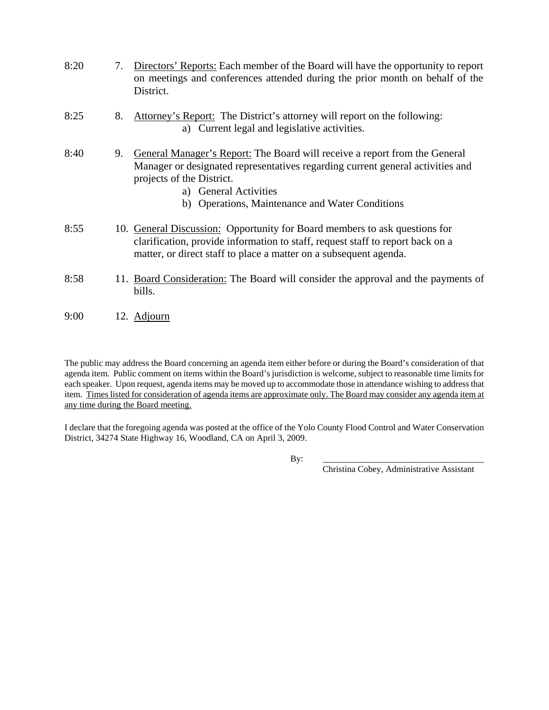| 8:20 | 7. Directors' Reports: Each member of the Board will have the opportunity to report |
|------|-------------------------------------------------------------------------------------|
|      | on meetings and conferences attended during the prior month on behalf of the        |
|      | District.                                                                           |

- 8:25 8. Attorney's Report: The District's attorney will report on the following: a) Current legal and legislative activities.
- 8:40 9. General Manager's Report: The Board will receive a report from the General Manager or designated representatives regarding current general activities and projects of the District.
	- a) General Activities
	- b) Operations, Maintenance and Water Conditions
- 8:55 10. General Discussion: Opportunity for Board members to ask questions for clarification, provide information to staff, request staff to report back on a matter, or direct staff to place a matter on a subsequent agenda.
- 8:58 11. Board Consideration: The Board will consider the approval and the payments of bills.
- 9:00 12. Adjourn

The public may address the Board concerning an agenda item either before or during the Board's consideration of that agenda item. Public comment on items within the Board's jurisdiction is welcome, subject to reasonable time limits for each speaker. Upon request, agenda items may be moved up to accommodate those in attendance wishing to address that item. Times listed for consideration of agenda items are approximate only. The Board may consider any agenda item at any time during the Board meeting.

I declare that the foregoing agenda was posted at the office of the Yolo County Flood Control and Water Conservation District, 34274 State Highway 16, Woodland, CA on April 3, 2009.

By: \_\_\_\_\_\_\_\_\_\_\_\_\_\_\_\_\_\_\_\_\_\_\_\_\_\_\_\_\_\_\_\_\_\_\_\_\_

Christina Cobey, Administrative Assistant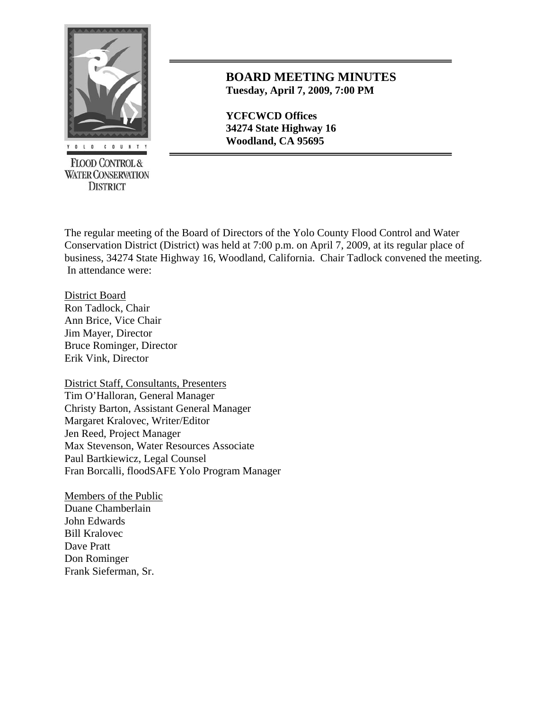

**FLOOD CONTROL & WATER CONSERVATION DISTRICT** 

## **BOARD MEETING MINUTES Tuesday, April 7, 2009, 7:00 PM**

**YCFCWCD Offices 34274 State Highway 16**  *<u>LO COUNTY</u>* **Woodland, CA 95695** 

The regular meeting of the Board of Directors of the Yolo County Flood Control and Water Conservation District (District) was held at 7:00 p.m. on April 7, 2009, at its regular place of business, 34274 State Highway 16, Woodland, California. Chair Tadlock convened the meeting. In attendance were:

District Board Ron Tadlock, Chair Ann Brice, Vice Chair Jim Mayer, Director Bruce Rominger, Director Erik Vink, Director

District Staff, Consultants, Presenters Tim O'Halloran, General Manager Christy Barton, Assistant General Manager Margaret Kralovec, Writer/Editor Jen Reed, Project Manager Max Stevenson, Water Resources Associate Paul Bartkiewicz, Legal Counsel Fran Borcalli, floodSAFE Yolo Program Manager

Members of the Public Duane Chamberlain John Edwards Bill Kralovec Dave Pratt Don Rominger Frank Sieferman, Sr.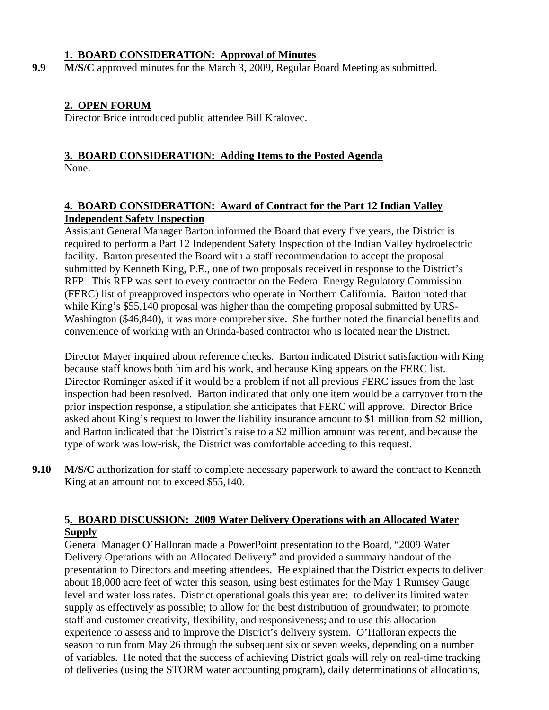#### **1. BOARD CONSIDERATION: Approval of Minutes**

**9.9 M/S/C** approved minutes for the March 3, 2009, Regular Board Meeting as submitted.

## **2. OPEN FORUM**

Director Brice introduced public attendee Bill Kralovec.

## **3. BOARD CONSIDERATION: Adding Items to the Posted Agenda** None.

#### **4. BOARD CONSIDERATION: Award of Contract for the Part 12 Indian Valley Independent Safety Inspection**

Assistant General Manager Barton informed the Board that every five years, the District is required to perform a Part 12 Independent Safety Inspection of the Indian Valley hydroelectric facility. Barton presented the Board with a staff recommendation to accept the proposal submitted by Kenneth King, P.E., one of two proposals received in response to the District's RFP. This RFP was sent to every contractor on the Federal Energy Regulatory Commission (FERC) list of preapproved inspectors who operate in Northern California. Barton noted that while King's \$55,140 proposal was higher than the competing proposal submitted by URS-Washington (\$46,840), it was more comprehensive. She further noted the financial benefits and convenience of working with an Orinda-based contractor who is located near the District.

Director Mayer inquired about reference checks. Barton indicated District satisfaction with King because staff knows both him and his work, and because King appears on the FERC list. Director Rominger asked if it would be a problem if not all previous FERC issues from the last inspection had been resolved. Barton indicated that only one item would be a carryover from the prior inspection response, a stipulation she anticipates that FERC will approve. Director Brice asked about King's request to lower the liability insurance amount to \$1 million from \$2 million, and Barton indicated that the District's raise to a \$2 million amount was recent, and because the type of work was low-risk, the District was comfortable acceding to this request.

**9.10 M/S/C** authorization for staff to complete necessary paperwork to award the contract to Kenneth King at an amount not to exceed \$55,140.

## **5. BOARD DISCUSSION: 2009 Water Delivery Operations with an Allocated Water Supply**

General Manager O'Halloran made a PowerPoint presentation to the Board, "2009 Water Delivery Operations with an Allocated Delivery" and provided a summary handout of the presentation to Directors and meeting attendees. He explained that the District expects to deliver about 18,000 acre feet of water this season, using best estimates for the May 1 Rumsey Gauge level and water loss rates. District operational goals this year are: to deliver its limited water supply as effectively as possible; to allow for the best distribution of groundwater; to promote staff and customer creativity, flexibility, and responsiveness; and to use this allocation experience to assess and to improve the District's delivery system. O'Halloran expects the season to run from May 26 through the subsequent six or seven weeks, depending on a number of variables. He noted that the success of achieving District goals will rely on real-time tracking of deliveries (using the STORM water accounting program), daily determinations of allocations,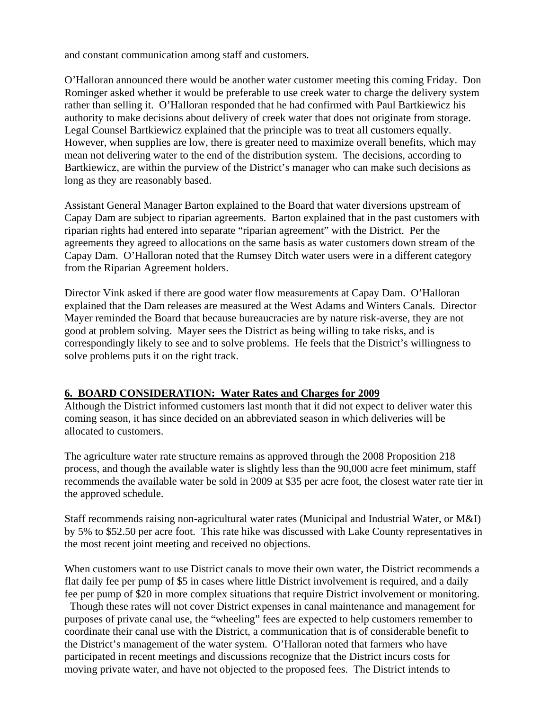and constant communication among staff and customers.

O'Halloran announced there would be another water customer meeting this coming Friday. Don Rominger asked whether it would be preferable to use creek water to charge the delivery system rather than selling it. O'Halloran responded that he had confirmed with Paul Bartkiewicz his authority to make decisions about delivery of creek water that does not originate from storage. Legal Counsel Bartkiewicz explained that the principle was to treat all customers equally. However, when supplies are low, there is greater need to maximize overall benefits, which may mean not delivering water to the end of the distribution system. The decisions, according to Bartkiewicz, are within the purview of the District's manager who can make such decisions as long as they are reasonably based.

Assistant General Manager Barton explained to the Board that water diversions upstream of Capay Dam are subject to riparian agreements. Barton explained that in the past customers with riparian rights had entered into separate "riparian agreement" with the District. Per the agreements they agreed to allocations on the same basis as water customers down stream of the Capay Dam. O'Halloran noted that the Rumsey Ditch water users were in a different category from the Riparian Agreement holders.

Director Vink asked if there are good water flow measurements at Capay Dam. O'Halloran explained that the Dam releases are measured at the West Adams and Winters Canals. Director Mayer reminded the Board that because bureaucracies are by nature risk-averse, they are not good at problem solving. Mayer sees the District as being willing to take risks, and is correspondingly likely to see and to solve problems. He feels that the District's willingness to solve problems puts it on the right track.

## **6. BOARD CONSIDERATION: Water Rates and Charges for 2009**

Although the District informed customers last month that it did not expect to deliver water this coming season, it has since decided on an abbreviated season in which deliveries will be allocated to customers.

The agriculture water rate structure remains as approved through the 2008 Proposition 218 process, and though the available water is slightly less than the 90,000 acre feet minimum, staff recommends the available water be sold in 2009 at \$35 per acre foot, the closest water rate tier in the approved schedule.

Staff recommends raising non-agricultural water rates (Municipal and Industrial Water, or M&I) by 5% to \$52.50 per acre foot. This rate hike was discussed with Lake County representatives in the most recent joint meeting and received no objections.

When customers want to use District canals to move their own water, the District recommends a flat daily fee per pump of \$5 in cases where little District involvement is required, and a daily fee per pump of \$20 in more complex situations that require District involvement or monitoring.

 Though these rates will not cover District expenses in canal maintenance and management for purposes of private canal use, the "wheeling" fees are expected to help customers remember to coordinate their canal use with the District, a communication that is of considerable benefit to the District's management of the water system. O'Halloran noted that farmers who have participated in recent meetings and discussions recognize that the District incurs costs for moving private water, and have not objected to the proposed fees. The District intends to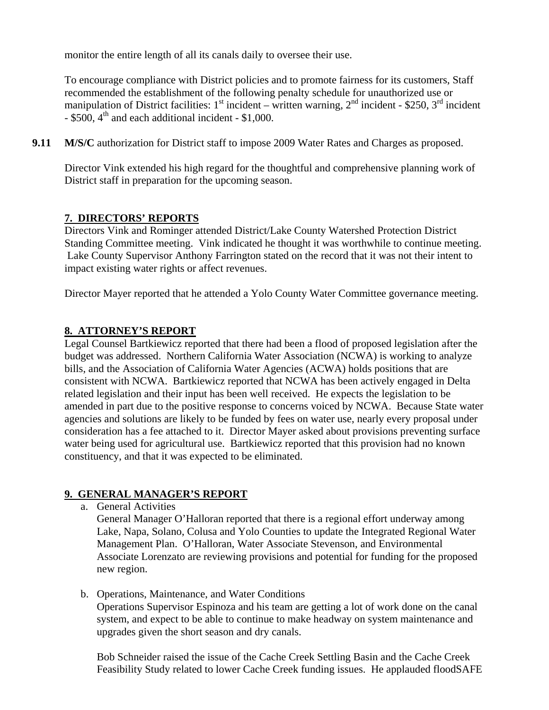monitor the entire length of all its canals daily to oversee their use.

To encourage compliance with District policies and to promote fairness for its customers, Staff recommended the establishment of the following penalty schedule for unauthorized use or manipulation of District facilities:  $1<sup>st</sup>$  incident – written warning,  $2<sup>nd</sup>$  incident - \$250,  $3<sup>rd</sup>$  incident  $-$  \$500, 4<sup>th</sup> and each additional incident  $-$  \$1,000.

**9.11 M/S/C** authorization for District staff to impose 2009 Water Rates and Charges as proposed.

Director Vink extended his high regard for the thoughtful and comprehensive planning work of District staff in preparation for the upcoming season.

## **7. DIRECTORS' REPORTS**

Directors Vink and Rominger attended District/Lake County Watershed Protection District Standing Committee meeting. Vink indicated he thought it was worthwhile to continue meeting. Lake County Supervisor Anthony Farrington stated on the record that it was not their intent to impact existing water rights or affect revenues.

Director Mayer reported that he attended a Yolo County Water Committee governance meeting.

#### **8. ATTORNEY'S REPORT**

Legal Counsel Bartkiewicz reported that there had been a flood of proposed legislation after the budget was addressed. Northern California Water Association (NCWA) is working to analyze bills, and the Association of California Water Agencies (ACWA) holds positions that are consistent with NCWA. Bartkiewicz reported that NCWA has been actively engaged in Delta related legislation and their input has been well received. He expects the legislation to be amended in part due to the positive response to concerns voiced by NCWA. Because State water agencies and solutions are likely to be funded by fees on water use, nearly every proposal under consideration has a fee attached to it. Director Mayer asked about provisions preventing surface water being used for agricultural use. Bartkiewicz reported that this provision had no known constituency, and that it was expected to be eliminated.

## **9. GENERAL MANAGER'S REPORT**

a. General Activities

General Manager O'Halloran reported that there is a regional effort underway among Lake, Napa, Solano, Colusa and Yolo Counties to update the Integrated Regional Water Management Plan. O'Halloran, Water Associate Stevenson, and Environmental Associate Lorenzato are reviewing provisions and potential for funding for the proposed new region.

b. Operations, Maintenance, and Water Conditions

Operations Supervisor Espinoza and his team are getting a lot of work done on the canal system, and expect to be able to continue to make headway on system maintenance and upgrades given the short season and dry canals.

Bob Schneider raised the issue of the Cache Creek Settling Basin and the Cache Creek Feasibility Study related to lower Cache Creek funding issues. He applauded floodSAFE